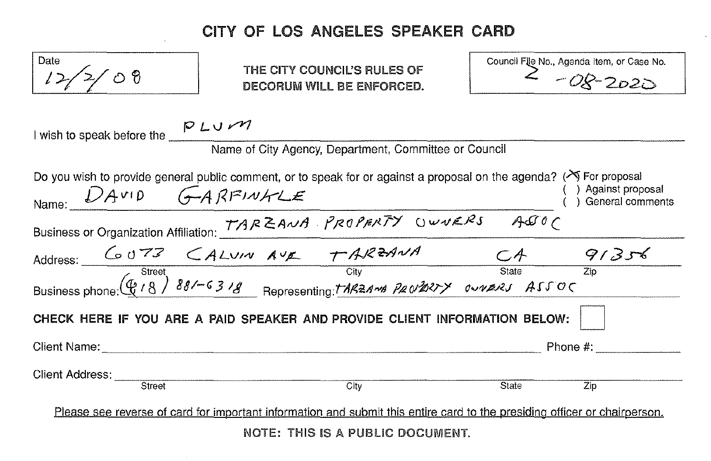## CITY OF LOS ANGELES SPEAKER CARD

| Date<br>$\circ$ වි                                                                                                                                                                                                                                                    |  | THE CITY COUNCIL'S RULES OF<br>DECORUM WILL BE ENFORCED. |  |       | Council File No., Agenda Item, or Case No.<br>$2 - 08 - 2020$ |  |
|-----------------------------------------------------------------------------------------------------------------------------------------------------------------------------------------------------------------------------------------------------------------------|--|----------------------------------------------------------|--|-------|---------------------------------------------------------------|--|
| I wish to speak before the $\frac{P L U \cdot M}{P}$<br>Name of City Agency, Department, Committee or Council                                                                                                                                                         |  |                                                          |  |       |                                                               |  |
| Do you wish to provide general public comment, or to speak for or against a proposal on the agenda? ( $\searrow$ For proposal<br>) Against proposal<br>General comments                                                                                               |  |                                                          |  |       |                                                               |  |
| Name: $DAVID$ $GAPI2IVAZE$<br>Business or Organization Affiliation: TARZANA PROPERTY OWNERS ASSOC<br>Address: $GUTZ$ $GALVIVAVIZ$ $TARZANA$ $GUTZ$<br>Address: $GUTZ$ $GALVIVAVIZ$ $TARZANA$ $TARZANA$ $TARZANA$ $TARZANA$ $TARZANA$ state $T_{\text{clip}}$<br>Busin |  |                                                          |  |       |                                                               |  |
|                                                                                                                                                                                                                                                                       |  |                                                          |  |       |                                                               |  |
|                                                                                                                                                                                                                                                                       |  |                                                          |  |       |                                                               |  |
| CHECK HERE IF YOU ARE A PAID SPEAKER AND PROVIDE CLIENT INFORMATION BELOW:                                                                                                                                                                                            |  |                                                          |  |       |                                                               |  |
|                                                                                                                                                                                                                                                                       |  |                                                          |  |       | Phone #:                                                      |  |
| Client Address: Street                                                                                                                                                                                                                                                |  | $\overline{\text{City}}$                                 |  | State | Zip                                                           |  |
| Please see reverse of card for important information and submit this entire card to the presiding officer or chairperson.                                                                                                                                             |  |                                                          |  |       |                                                               |  |
| NOTE: THIS IS A PUBLIC DOCUMENT.                                                                                                                                                                                                                                      |  |                                                          |  |       |                                                               |  |